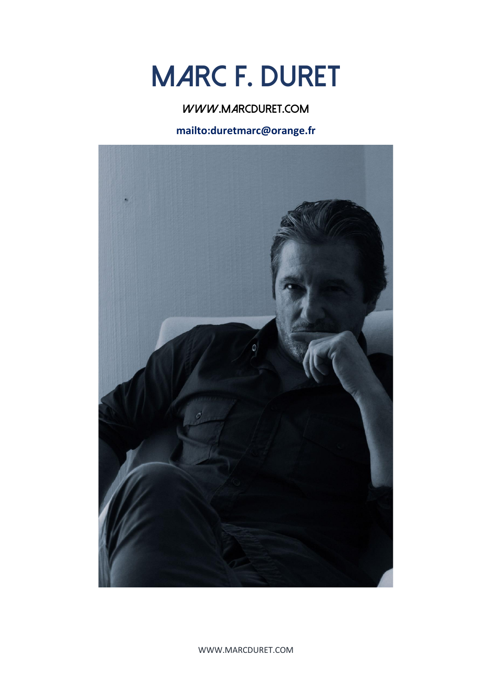# **MARC F. DURET**

**[www.marcduret.com](file:///D:/Marc%202020/cv/www.marcduret.com)**

**<mailto:duretmarc@orange.fr>**



WWW.MARCDURET.COM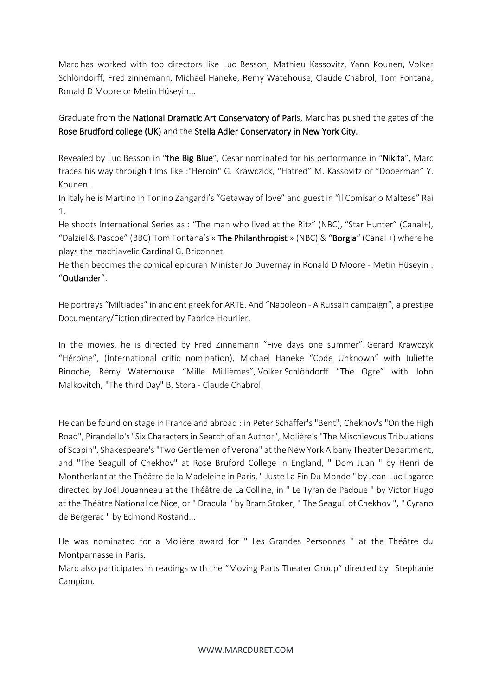Marc has worked with top directors like Luc Besson, Mathieu Kassovitz, Yann Kounen, Volker Schlöndorff, Fred zinnemann, Michael Haneke, Remy Watehouse, Claude Chabrol, Tom Fontana, Ronald D Moore or Metin Hüseyin...

Graduate from the National Dramatic Art Conservatory of Paris, Marc has pushed the gates of the Rose Brudford college (UK) and the Stella Adler Conservatory in New York City.

Revealed by Luc Besson in "the Big Blue", Cesar nominated for his performance in "Nikita", Marc traces his way through films like :"Heroin" G. Krawczick, "Hatred" M. Kassovitz or "Doberman" Y. Kounen.

In Italy he is Martino in Tonino Zangardi's "Getaway of love" and guest in "Il Comisario Maltese" Rai 1.

He shoots International Series as : "The man who lived at the Ritz" (NBC), "Star Hunter" (Canal+), "Dalziel & Pascoe" (BBC) Tom Fontana's « The Philanthropist » (NBC) & "Borgia" (Canal +) where he plays the machiavelic Cardinal G. Briconnet.

He then becomes the comical epicuran Minister Jo Duvernay in Ronald D Moore - Metin Hüseyin : "Outlander".

He portrays "Miltiades" in ancient greek for ARTE. And "Napoleon - A Russain campaign", a prestige Documentary/Fiction directed by Fabrice Hourlier.

In the movies, he is directed by Fred Zinnemann "Five days one summer". Gėrard Krawczyk "Héroïne", (International critic nomination), Michael Haneke "Code Unknown" with Juliette Binoche, Rémy Waterhouse "Mille Millièmes", Volker Schlöndorff "The Ogre" with John Malkovitch, "The third Day" B. Stora - Claude Chabrol.

He can be found on stage in France and abroad : in Peter Schaffer's "Bent", Chekhov's "On the High Road", Pirandello's"Six Characters in Search of an Author", Molière's"The Mischievous Tribulations of Scapin", Shakespeare's"Two Gentlemen of Verona" at the New York Albany Theater Department, and "The Seagull of Chekhov" at Rose Bruford College in England, " Dom Juan " by Henri de Montherlant at the Théâtre de la Madeleine in Paris, " Juste La Fin Du Monde " by Jean-Luc Lagarce directed by Joël Jouanneau at the Théâtre de La Colline, in " Le Tyran de Padoue " by Victor Hugo at the Théâtre National de Nice, or " Dracula " by Bram Stoker, " The Seagull of Chekhov ", " Cyrano de Bergerac " by Edmond Rostand...

He was nominated for a Molière award for " Les Grandes Personnes " at the Théâtre du Montparnasse in Paris.

Marc also participates in readings with the "Moving Parts Theater Group" directed by Stephanie Campion.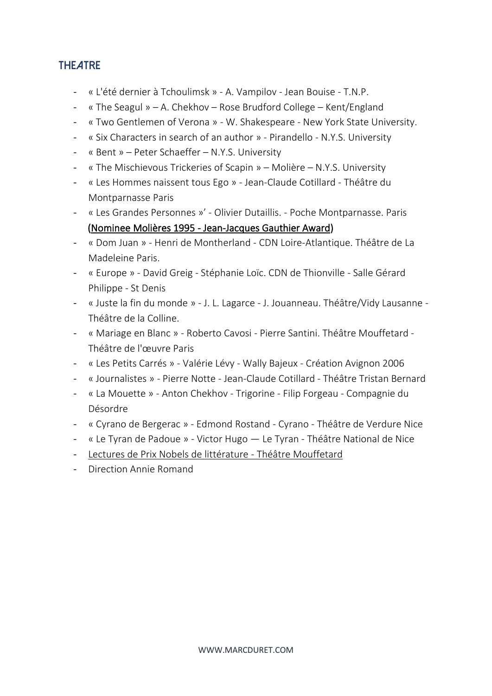# **ThEAtre**

- « L'été dernier à Tchoulimsk » A. Vampilov Jean Bouise T.N.P.
- « The Seagul » A. Chekhov Rose Brudford College Kent/England
- « Two Gentlemen of Verona » W. Shakespeare New York State University.
- « Six Characters in search of an author » Pirandello N.Y.S. University
- « Bent » Peter Schaeffer N.Y.S. University
- « The Mischievous Trickeries of Scapin » Molière N.Y.S. University
- « Les Hommes naissent tous Ego » Jean-Claude Cotillard Théâtre du Montparnasse Paris
- « Les Grandes Personnes »' Olivier Dutaillis. Poche Montparnasse. Paris (Nominee Molières 1995 - Jean-Jacques Gauthier Award)
- « Dom Juan » Henri de Montherland CDN Loire-Atlantique. Théâtre de La Madeleine Paris.
- « Europe » David Greig Stéphanie Loïc. CDN de Thionville Salle Gérard Philippe - St Denis
- « Juste la fin du monde » J. L. Lagarce J. Jouanneau. Théâtre/Vidy Lausanne Théâtre de la Colline.
- « Mariage en Blanc » Roberto Cavosi Pierre Santini. Théâtre Mouffetard Théâtre de l'œuvre Paris
- « Les Petits Carrés » Valérie Lévy Wally Bajeux Création Avignon 2006
- « Journalistes » Pierre Notte Jean-Claude Cotillard Théâtre Tristan Bernard
- « La Mouette » Anton Chekhov Trigorine Filip Forgeau Compagnie du Désordre
- « Cyrano de Bergerac » Edmond Rostand Cyrano Théâtre de Verdure Nice
- « Le Tyran de Padoue » Victor Hugo Le Tyran Théâtre National de Nice
- Lectures de Prix Nobels de littérature Théâtre Mouffetard
- Direction Annie Romand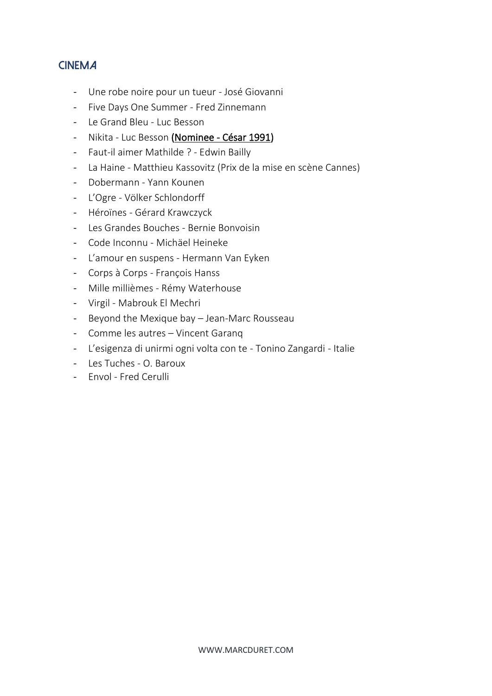# **CinEma**

- Une robe noire pour un tueur José Giovanni
- Five Days One Summer Fred Zinnemann
- Le Grand Bleu Luc Besson
- Nikita Luc Besson (Nominee César 1991)
- Faut-il aimer Mathilde ? Edwin Bailly
- La Haine Matthieu Kassovitz (Prix de la mise en scène Cannes)
- Dobermann Yann Kounen
- L'Ogre Völker Schlondorff
- Héroïnes Gérard Krawczyck
- Les Grandes Bouches Bernie Bonvoisin
- Code Inconnu Michäel Heineke
- L'amour en suspens Hermann Van Eyken
- Corps à Corps François Hanss
- Mille millièmes Rémy Waterhouse
- Virgil Mabrouk El Mechri
- Beyond the Mexique bay Jean-Marc Rousseau
- Comme les autres Vincent Garanq
- L'esigenza di unirmi ogni volta con te Tonino Zangardi Italie
- Les Tuches O. Baroux
- Envol Fred Cerulli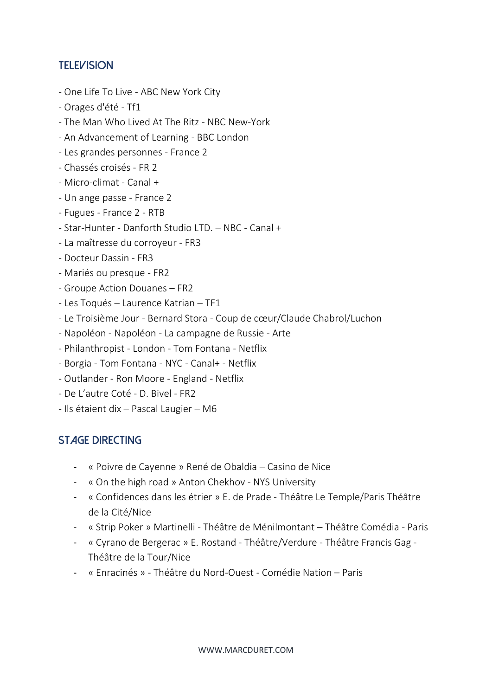#### **TElEvision**

- One Life To Live ABC New York City
- Orages d'été Tf1
- The Man Who Lived At The Ritz NBC New-York
- An Advancement of Learning BBC London
- Les grandes personnes France 2
- Chassés croisés FR 2
- Micro-climat Canal +
- Un ange passe France 2
- Fugues France 2 RTB
- Star-Hunter Danforth Studio LTD. NBC Canal +
- La maîtresse du corroyeur FR3
- Docteur Dassin FR3
- Mariés ou presque FR2
- Groupe Action Douanes FR2
- Les Toqués Laurence Katrian TF1
- Le Troisième Jour Bernard Stora Coup de cœur/Claude Chabrol/Luchon
- Napoléon Napoléon La campagne de Russie Arte
- Philanthropist London Tom Fontana Netflix
- Borgia Tom Fontana NYC Canal+ Netflix
- Outlander Ron Moore England Netflix
- De L'autre Coté D. Bivel FR2
- Ils étaient dix Pascal Laugier M6

# **STAGE DIRECTING**

- « Poivre de Cayenne » René de Obaldia Casino de Nice
- « On the high road » Anton Chekhov NYS University
- « Confidences dans les étrier » E. de Prade Théâtre Le Temple/Paris Théâtre de la Cité/Nice
- « Strip Poker » Martinelli Théâtre de Ménilmontant Théâtre Comédia Paris
- « Cyrano de Bergerac » E. Rostand Théâtre/Verdure Théâtre Francis Gag Théâtre de la Tour/Nice
- « Enracinés » Théâtre du Nord-Ouest Comédie Nation Paris